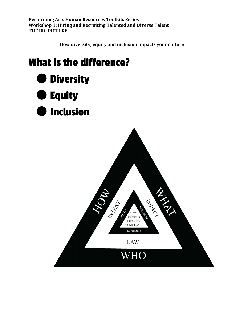How diversity, equity and inclusion impacts your culture

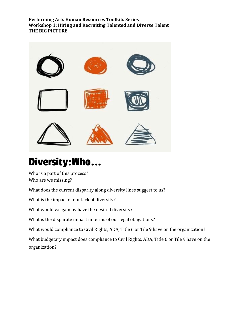

# Diversity: Who...

Who is a part of this process? Who are we missing?

What does the current disparity along diversity lines suggest to us?

What is the impact of our lack of diversity?

What would we gain by have the desired diversity?

What is the disparate impact in terms of our legal obligations?

What would compliance to Civil Rights, ADA, Title 6 or Tile 9 have on the organization?

What budgetary impact does compliance to Civil Rights, ADA, Title 6 or Tile 9 have on the organization?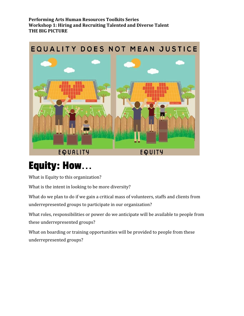

# **Equity: How...**

What is Equity to this organization?

What is the intent in looking to be more diversity?

What do we plan to do if we gain a critical mass of volunteers, staffs and clients from underrepresented groups to participate in our organization?

What roles, responsibilities or power do we anticipate will be available to people from these underrepresented groups?

What on boarding or training opportunities will be provided to people from these underrepresented groups?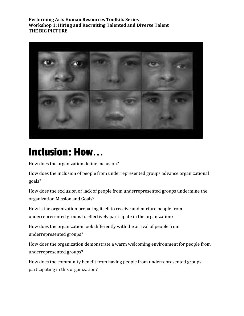

### **Inclusion: How...**

How does the organization define inclusion?

How does the inclusion of people from underrepresented groups advance organizational goals?

How does the exclusion or lack of people from underrepresented groups undermine the organization Mission and Goals?

How is the organization preparing itself to receive and nurture people from underrepresented groups to effectively participate in the organization?

How does the organization look differently with the arrival of people from underrepresented groups?

How does the organization demonstrate a warm welcoming environment for people from underrepresented groups?

How does the community benefit from having people from underrepresented groups participating in this organization?